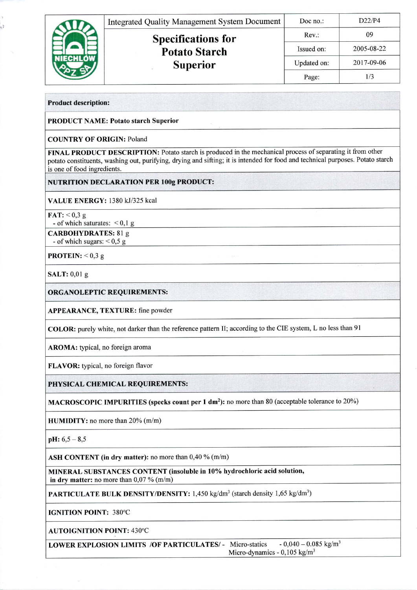|  | <b>Integrated Quality Management System Document</b> | Doc no.:    | D22/P4     |
|--|------------------------------------------------------|-------------|------------|
|  | <b>Specifications for</b><br><b>Potato Starch</b>    | Rev:        | 09         |
|  |                                                      | Issued on:  | 2005-08-22 |
|  | <b>Superior</b>                                      | Updated on: | 2017-09-06 |
|  |                                                      | Page:       | 1/3        |

Product description:

k, b

PRODUCT NAME: Potato starch Superior

COUNTRY OF ORIGIN: Poland

FINAL PRODUCT DESCRIPTION: Potato starch is produced in the mechanical process of separating it from other potato constituents, washing out, purifying, drying and sifting; it is intended for food and technical purposes. Potato starch is one of food ingredients.

|TUTRITION DECLARATION PER l00g PRODUCT:

VALUE ENERGY: 1380 kJ/325 kcal

FAT:  $< 0.3 g$ 

- of which saturates:  $< 0.1$  g

CARBOHYDRATES: 81 g - of which sugars:  $< 0.5 g$ 

**PROTEIN:**  $< 0.3 g$ 

SALT: 0,01 g

ORGANOLEPTIC REQUIREMENTS:

APPEARANCE, TEXTURE: fine powder

COLOR: purely white, not darker than the reference pattern II; according to the CIE system, L no less than 9l

AROMA: typical, no foreign aroma

FLAVOR: typical, no foreign flavor

PHYSICAL CHEMICAL REQUIREMENTS:

MACROSCOPIC IMPURITIES (specks count per 1 dm<sup>2</sup>): no more than 80 (acceptable tolerance to 20%)

HUMIDITY: no more than 20% (m/m)

 $pH: 6, 5 - 8, 5$ 

ASH CONTENT (in dry matter): no more than  $0,40\%$  (m/m)

MINERAL SUBSTANCES CONTENT (insoluble in 10% hydrochloric acid solution, in dry matter: no more than  $0.07\%$  (m/m)

PARTICULATE BULK DENSITY/DENSITY: 1,450 kg/dm<sup>3</sup> (starch density 1,65 kg/dm<sup>3</sup>)

IGNITION POINT: 380°C

AUTOIGNITION POINT: 430"C

LOWER EXPLOSION LIMITS /OF PARTICULATES/ - Micro-statics - 0,040 - 0.085 kg/m<sup>3</sup> Micro-dynamics - 0,105 kg/m<sup>3</sup>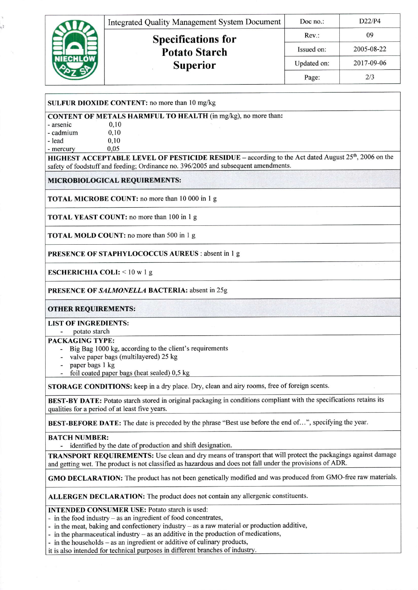|  | <b>Integrated Quality Management System Document</b> | Doc no.:    | D22/P4     |
|--|------------------------------------------------------|-------------|------------|
|  | <b>Specifications for</b><br><b>Potato Starch</b>    | Rev:        | 09         |
|  |                                                      | Issued on:  | 2005-08-22 |
|  | <b>Superior</b>                                      | Updated on: | 2017-09-06 |
|  |                                                      | Page:       | 2/3        |

## SULFUR DIOXIDE CONTENT: no more than 10 mg/kg

**CONTENT OF METALS HARMFUL TO HEALTH** (in mg/kg), no more than:

| - arsenic   | 0,10 |  |  |
|-------------|------|--|--|
| - cadmium   | 0,10 |  |  |
| - lead      | 0,10 |  |  |
| $-$ mercury | 0.05 |  |  |

ίt

HIGHEST ACCEPTABLE LEVEL OF PESTICIDE RESIDUE – according to the Act dated August 25<sup>th</sup>, 2006 on the safety of foodstuff and feeding; Ordinance no. 396/2005 and subsequent amendments.

## MICROBIOLOGICAL REQUIREMENTS:

**TOTAL MICROBE COUNT:** no more than 10 000 in 1 g

**TOTAL YEAST COUNT:** no more than 100 in 1 g

**TOTAL MOLD COUNT:** no more than 500 in 1 g

**PRESENCE OF STAPHYLOCOCCUS AUREUS: absent in 1 g** 

**ESCHERICHIA COLI:**  $<$  10 w 1 g

PRESENCE OF SALMONELLA BACTERIA: absent in 25g

**OTHER REQUIREMENTS:** 

**LIST OF INGREDIENTS:** 

- potato starch PACKAGING TYPE:

- Big Bag 1000 kg, according to the client's requirements
- valve paper bags (multilayered) 25 kg
- paper bags 1 kg
- foil coated paper bags (heat sealed) 0,5 kg

STORAGE CONDITIONS: keep in a dry place. Dry, clean and airy rooms, free of foreign scents.

BEST-BY DATE: Potato starch stored in original packaging in conditions compliant with the specifications retains its qualities for a period of at least five years.

BEST-BEFORE DATE: The date is preceded by the phrase "Best use before the end of...", specifying the year.

## **BATCH NUMBER:**

- identified by the date of production and shift designation.

TRANSPORT REQUIREMENTS: Use clean and dry means of transport that will protect the packagings against damage and getting wet. The product is not classified as hazardous and does not fall under the provisions of ADR.

GMO DECLARATION: The product has not been genetically modified and was produced from GMO-free raw materials.

ALLERGEN DECLARATION: The product does not contain any allergenic constituents.

**INTENDED CONSUMER USE: Potato starch is used:** 

- in the food industry  $-$  as an ingredient of food concentrates,
- in the meat, baking and confectionery industry  $-$  as a raw material or production additive,
- in the pharmaceutical industry as an additive in the production of medications,
- in the households as an ingredient or additive of culinary products,

it is also intended for technical purposes in different branches of industry.